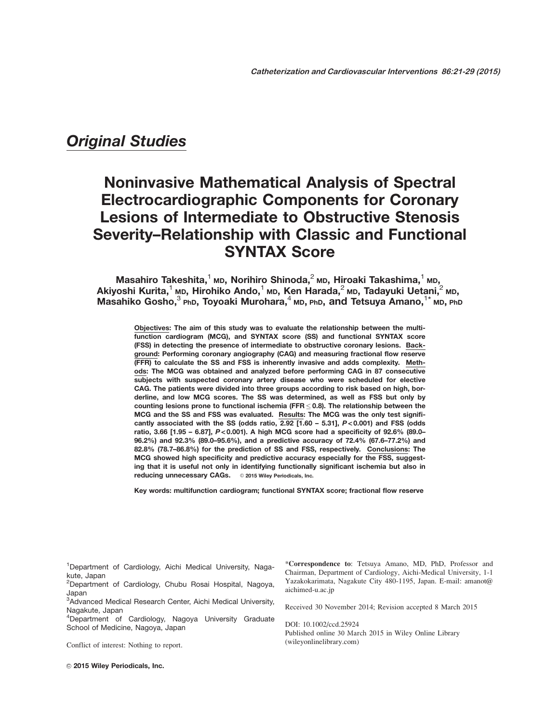# Original Studies

# Noninvasive Mathematical Analysis of Spectral Electrocardiographic Components for Coronary Lesions of Intermediate to Obstructive Stenosis Severity–Relationship with Classic and Functional SYNTAX Score

Masahiro Takeshita,<sup>1</sup> MD, Norihiro Shinoda,<sup>2</sup> MD, Hiroaki Takashima,<sup>1</sup> MD, Akiyoshi Kurita,<sup>1</sup> MD, Hirohiko Ando,<sup>1</sup> MD, Ken Harada,<sup>2</sup> MD, Tadayuki Uetani,<sup>2</sup> MD, Masahiko Gosho, $3$  PhD, Toyoaki Murohara, $4$  MD, PhD, and Tetsuya Amano, $1^*$  MD, PhD

> Objectives: The aim of this study was to evaluate the relationship between the multifunction cardiogram (MCG), and SYNTAX score (SS) and functional SYNTAX score (FSS) in detecting the presence of intermediate to obstructive coronary lesions. Background: Performing coronary angiography (CAG) and measuring fractional flow reserve (FFR) to calculate the SS and FSS is inherently invasive and adds complexity. Methods: The MCG was obtained and analyzed before performing CAG in 87 consecutive subjects with suspected coronary artery disease who were scheduled for elective CAG. The patients were divided into three groups according to risk based on high, borderline, and low MCG scores. The SS was determined, as well as FSS but only by counting lesions prone to functional ischemia (FFR  $\leq$  0.8). The relationship between the MCG and the SS and FSS was evaluated. Results: The MCG was the only test significantly associated with the SS (odds ratio,  $2.92$  [1.60 – 5.31],  $P < 0.001$ ) and FSS (odds ratio, 3.66 [1.95 – 6.87], P< 0.001). A high MCG score had a specificity of 92.6% (89.0– 96.2%) and 92.3% (89.0–95.6%), and a predictive accuracy of 72.4% (67.6–77.2%) and 82.8% (78.7–86.8%) for the prediction of SS and FSS, respectively. Conclusions: The MCG showed high specificity and predictive accuracy especially for the FSS, suggesting that it is useful not only in identifying functionally significant ischemia but also in reducing unnecessary CAGs. © 2015 Wiley Periodicals, Inc.

> Key words: multifunction cardiogram; functional SYNTAX score; fractional flow reserve

<sup>1</sup>Department of Cardiology, Aichi Medical University, Nagakute, Japan

<sup>2</sup>Department of Cardiology, Chubu Rosai Hospital, Nagoya, Japan

<sup>3</sup>Advanced Medical Research Center, Aichi Medical University, Nagakute, Japan

4 Department of Cardiology, Nagoya University Graduate School of Medicine, Nagoya, Japan

Conflict of interest: Nothing to report.

\*Correspondence to: Tetsuya Amano, MD, PhD, Professor and Chairman, Department of Cardiology, Aichi-Medical University, 1-1 Yazakokarimata, Nagakute City 480-1195, Japan. E-mail: amanot@ aichimed-u.ac.jp

Received 30 November 2014; Revision accepted 8 March 2015

DOI: 10.1002/ccd.25924 Published online 30 March 2015 in Wiley Online Library (wileyonlinelibrary.com)

© 2015 Wiley Periodicals, Inc.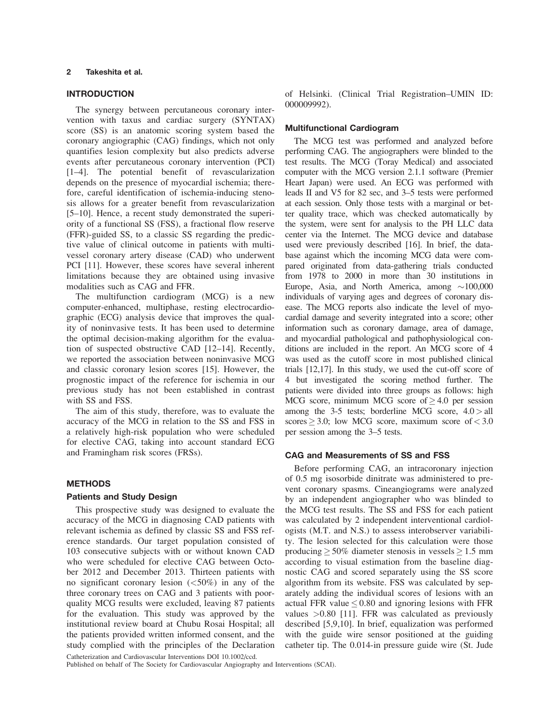#### 2 Takeshita et al.

## INTRODUCTION

The synergy between percutaneous coronary intervention with taxus and cardiac surgery (SYNTAX) score (SS) is an anatomic scoring system based the coronary angiographic (CAG) findings, which not only quantifies lesion complexity but also predicts adverse events after percutaneous coronary intervention (PCI) [1–4]. The potential benefit of revascularization depends on the presence of myocardial ischemia; therefore, careful identification of ischemia-inducing stenosis allows for a greater benefit from revascularization [5–10]. Hence, a recent study demonstrated the superiority of a functional SS (FSS), a fractional flow reserve (FFR)-guided SS, to a classic SS regarding the predictive value of clinical outcome in patients with multivessel coronary artery disease (CAD) who underwent PCI [11]. However, these scores have several inherent limitations because they are obtained using invasive modalities such as CAG and FFR.

The multifunction cardiogram (MCG) is a new computer-enhanced, multiphase, resting electrocardiographic (ECG) analysis device that improves the quality of noninvasive tests. It has been used to determine the optimal decision-making algorithm for the evaluation of suspected obstructive CAD [12–14]. Recently, we reported the association between noninvasive MCG and classic coronary lesion scores [15]. However, the prognostic impact of the reference for ischemia in our previous study has not been established in contrast with SS and FSS.

The aim of this study, therefore, was to evaluate the accuracy of the MCG in relation to the SS and FSS in a relatively high-risk population who were scheduled for elective CAG, taking into account standard ECG and Framingham risk scores (FRSs).

# **METHODS**

## Patients and Study Design

This prospective study was designed to evaluate the accuracy of the MCG in diagnosing CAD patients with relevant ischemia as defined by classic SS and FSS reference standards. Our target population consisted of 103 consecutive subjects with or without known CAD who were scheduled for elective CAG between October 2012 and December 2013. Thirteen patients with no significant coronary lesion  $(<50\%)$  in any of the three coronary trees on CAG and 3 patients with poorquality MCG results were excluded, leaving 87 patients for the evaluation. This study was approved by the institutional review board at Chubu Rosai Hospital; all the patients provided written informed consent, and the study complied with the principles of the Declaration Catheterization and Cardiovascular Interventions DOI 10.1002/ccd.

of Helsinki. (Clinical Trial Registration–UMIN ID: 000009992).

## Multifunctional Cardiogram

The MCG test was performed and analyzed before performing CAG. The angiographers were blinded to the test results. The MCG (Toray Medical) and associated computer with the MCG version 2.1.1 software (Premier Heart Japan) were used. An ECG was performed with leads II and V5 for 82 sec, and 3–5 tests were performed at each session. Only those tests with a marginal or better quality trace, which was checked automatically by the system, were sent for analysis to the PH LLC data center via the Internet. The MCG device and database used were previously described [16]. In brief, the database against which the incoming MCG data were compared originated from data-gathering trials conducted from 1978 to 2000 in more than 30 institutions in Europe, Asia, and North America, among  $\sim$ 100,000 individuals of varying ages and degrees of coronary disease. The MCG reports also indicate the level of myocardial damage and severity integrated into a score; other information such as coronary damage, area of damage, and myocardial pathological and pathophysiological conditions are included in the report. An MCG score of 4 was used as the cutoff score in most published clinical trials [12,17]. In this study, we used the cut-off score of 4 but investigated the scoring method further. The patients were divided into three groups as follows: high MCG score, minimum MCG score of  $\geq 4.0$  per session among the  $3-5$  tests; borderline MCG score,  $4.0>$  all scores  $\geq 3.0$ ; low MCG score, maximum score of  $< 3.0$ per session among the 3–5 tests.

## CAG and Measurements of SS and FSS

Before performing CAG, an intracoronary injection of 0.5 mg isosorbide dinitrate was administered to prevent coronary spasms. Cineangiograms were analyzed by an independent angiographer who was blinded to the MCG test results. The SS and FSS for each patient was calculated by 2 independent interventional cardiologists (M.T. and N.S.) to assess interobserver variability. The lesion selected for this calculation were those producing  $\geq 50\%$  diameter stenosis in vessels  $\geq 1.5$  mm according to visual estimation from the baseline diagnostic CAG and scored separately using the SS score algorithm from its website. FSS was calculated by separately adding the individual scores of lesions with an actual FFR value  $\leq 0.80$  and ignoring lesions with FFR values >0.80 [11]. FFR was calculated as previously described [5,9,10]. In brief, equalization was performed with the guide wire sensor positioned at the guiding catheter tip. The 0.014-in pressure guide wire (St. Jude

Published on behalf of The Society for Cardiovascular Angiography and Interventions (SCAI).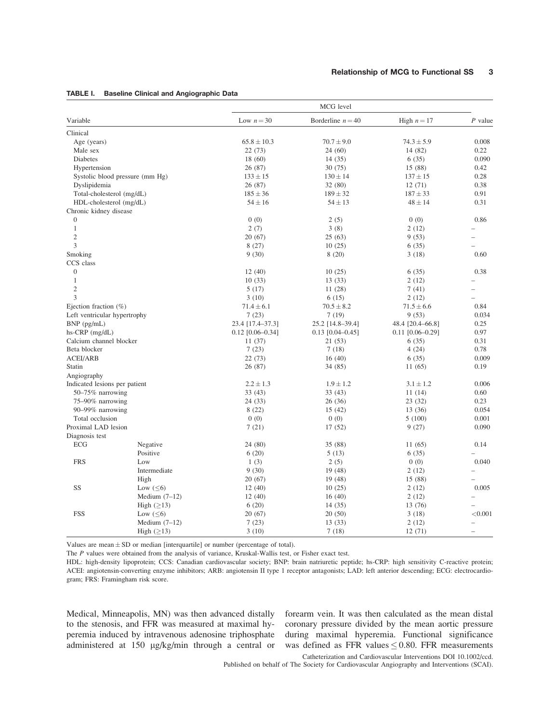|                               |                                 |                    | MCG level           |                    |                          |
|-------------------------------|---------------------------------|--------------------|---------------------|--------------------|--------------------------|
| Variable                      |                                 | Low $n = 30$       | Borderline $n = 40$ | High $n = 17$      | $P$ value                |
| Clinical                      |                                 |                    |                     |                    |                          |
| Age (years)                   |                                 | $65.8\pm10.3$      | $70.7 \pm 9.0$      | $74.3 \pm 5.9$     | 0.008                    |
| Male sex                      |                                 | 22(73)             | 24(60)              | 14 (82)            | 0.22                     |
| Diabetes                      |                                 | 18(60)             | 14(35)              | 6(35)              | 0.090                    |
| Hypertension                  |                                 | 26(87)             | 30(75)              | 15 (88)            | 0.42                     |
|                               | Systolic blood pressure (mm Hg) | $133 \pm 15$       | $130 \pm 14$        | $137 \pm 15$       | 0.28                     |
| Dyslipidemia                  |                                 | 26(87)             | 32 (80)             | 12(71)             | 0.38                     |
| Total-cholesterol (mg/dL)     |                                 | $185 \pm 36$       | $189 \pm 32$        | $187 \pm 33$       | 0.91                     |
| HDL-cholesterol (mg/dL)       |                                 | $54 \pm 16$        | $54 \pm 13$         |                    | 0.31                     |
| Chronic kidney disease        |                                 |                    |                     |                    |                          |
| $\boldsymbol{0}$              |                                 | 0(0)               | 2(5)                | 0(0)               | 0.86                     |
| $\mathbf{1}$                  |                                 | 2(7)               | 3(8)                | 2(12)              |                          |
| $\overline{c}$                |                                 | 20(67)             | 25(63)              | 9(53)              |                          |
| 3                             |                                 | 8(27)              | 10(25)              | 6(35)              |                          |
| Smoking                       |                                 | 9(30)              | 8(20)               | 3(18)              | 0.60                     |
| CCS class                     |                                 |                    |                     |                    |                          |
| $\overline{0}$                |                                 | 12(40)             | 10(25)              | 6(35)              | 0.38                     |
| $\mathbf{1}$                  |                                 | 10(33)             | 13(33)              | 2(12)              |                          |
| $\overline{c}$                |                                 | 5(17)              | 11 (28)<br>7(41)    |                    |                          |
| 3                             |                                 | 3(10)              | 6(15)               | 2(12)              |                          |
| Ejection fraction $(\%)$      |                                 | $71.4 \pm 6.1$     | $70.5 \pm 8.2$      | $71.5 \pm 6.6$     | 0.84                     |
| Left ventricular hypertrophy  |                                 | 7(23)              | 7(19)               | 9(53)              | 0.034                    |
| $BNP$ ( $pg/mL$ )             |                                 | 23.4 [17.4-37.3]   | 25.2 [14.8-39.4]    | 48.4 [20.4-66.8]   | 0.25                     |
| hs-CRP $(mg/dL)$              |                                 | $0.12$ [0.06-0.34] | $0.13$ [0.04-0.45]  | $0.11$ [0.06-0.29] | 0.97                     |
| Calcium channel blocker       |                                 | 11(37)             | 21(53)              | 6(35)              | 0.31                     |
| Beta blocker                  |                                 | 7(23)              | 7(18)               | 4(24)              | 0.78                     |
| <b>ACEI/ARB</b>               |                                 | 22(73)             | 16(40)<br>6(35)     |                    | 0.009                    |
| Statin                        |                                 | 26 (87)            | 34 (85)             | 11 (65)            | 0.19                     |
| Angiography                   |                                 |                    |                     |                    |                          |
| Indicated lesions per patient |                                 | $2.2 \pm 1.3$      | $1.9 \pm 1.2$       | $3.1 \pm 1.2$      | 0.006                    |
| $50-75\%$ narrowing           |                                 | 33(43)             | 33(43)              | 11(14)             | 0.60                     |
| 75–90% narrowing              |                                 | 24(33)             | 26(36)              | 23(32)             | 0.23                     |
| 90-99% narrowing              |                                 | 8(22)              | 15(42)              | 13 (36)            | 0.054                    |
| Total occlusion               |                                 | 0(0)               | 0(0)                | 5(100)             | 0.001                    |
| Proximal LAD lesion           |                                 | 7(21)              | 17(52)              | 9(27)              | 0.090                    |
| Diagnosis test                |                                 |                    |                     |                    |                          |
| <b>ECG</b>                    | Negative                        | 24(80)             | 35 (88)             | 11 (65)            | 0.14                     |
|                               | Positive                        | 6(20)              | 5(13)               | 6(35)              |                          |
| <b>FRS</b>                    | Low                             | 1(3)               | 2(5)                | 0(0)               | 0.040                    |
|                               | Intermediate                    | 9(30)              | 19 (48)             | 2(12)              |                          |
|                               | High                            | 20(67)             | 19 (48)             | 15 (88)            |                          |
| SS                            | Low $(< 6)$                     | 12(40)             | 10(25)              | 2(12)              | 0.005                    |
|                               | Medium $(7-12)$                 | 12(40)             | 16(40)              | 2(12)              |                          |
|                               | High $(>13)$                    | 6(20)              | 14(35)              | 13 (76)            |                          |
| <b>FSS</b>                    | Low $(< 6)$                     | 20(67)             | 20(50)              | 3(18)              | < 0.001                  |
|                               | Medium $(7-12)$                 | 7(23)              | 13(33)              | 2(12)              |                          |
|                               | High $(>13)$                    | 3(10)              | 7(18)               | 12(71)             | $\overline{\phantom{m}}$ |

## TABLE I. Baseline Clinical and Angiographic Data

Values are mean  $\pm$  SD or median [interquartile] or number (percentage of total).

The P values were obtained from the analysis of variance, Kruskal-Wallis test, or Fisher exact test.

HDL: high-density lipoprotein; CCS: Canadian cardiovascular society; BNP: brain natriuretic peptide; hs-CRP: high sensitivity C-reactive protein; ACEI: angiotensin-converting enzyme inhibitors; ARB: angiotensin II type 1 receptor antagonists; LAD: left anterior descending; ECG: electrocardiogram; FRS: Framingham risk score.

Medical, Minneapolis, MN) was then advanced distally to the stenosis, and FFR was measured at maximal hyperemia induced by intravenous adenosine triphosphate administered at  $150 \mu g/kg/min$  through a central or forearm vein. It was then calculated as the mean distal coronary pressure divided by the mean aortic pressure during maximal hyperemia. Functional significance was defined as FFR values  $\leq$  0.80. FFR measurements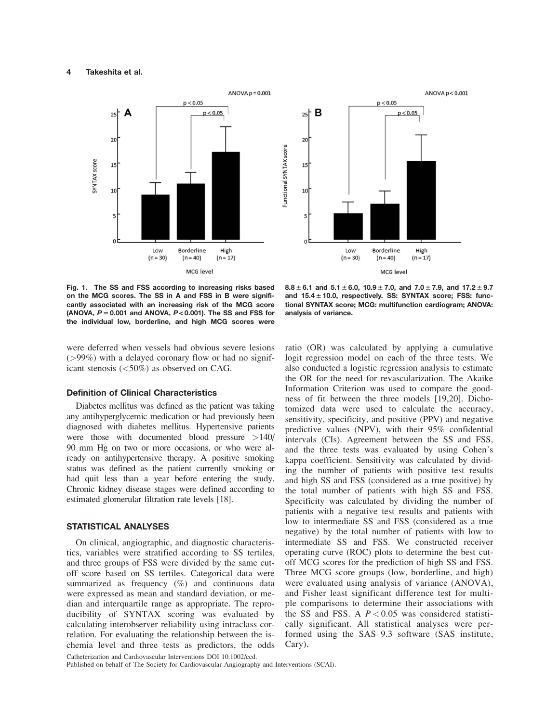#### 4 Takeshita et al.





Fig. 1. The SS and FSS according to increasing risks based on the MCG scores. The SS in A and FSS in B were significantly associated with an increasing risk of the MCG score (ANOVA,  $P = 0.001$  and ANOVA,  $P < 0.001$ ). The SS and FSS for the individual low, borderline, and high MCG scores were

were deferred when vessels had obvious severe lesions  $(>99\%)$  with a delayed coronary flow or had no significant stenosis  $(<50\%)$  as observed on CAG.

### Definition of Clinical Characteristics

Diabetes mellitus was defined as the patient was taking any antihyperglycemic medication or had previously been diagnosed with diabetes mellitus. Hypertensive patients were those with documented blood pressure >140/ 90 mm Hg on two or more occasions, or who were already on antihypertensive therapy. A positive smoking status was defined as the patient currently smoking or had quit less than a year before entering the study. Chronic kidney disease stages were defined according to estimated glomerular filtration rate levels [18].

### STATISTICAL ANALYSES

On clinical, angiographic, and diagnostic characteristics, variables were stratified according to SS tertiles, and three groups of FSS were divided by the same cutoff score based on SS tertiles. Categorical data were summarized as frequency  $(\%)$  and continuous data were expressed as mean and standard deviation, or median and interquartile range as appropriate. The reproducibility of SYNTAX scoring was evaluated by calculating interobserver reliability using intraclass correlation. For evaluating the relationship between the ischemia level and three tests as predictors, the odds Catheterization and Cardiovascular Interventions DOI 10.1002/ccd.

 $8.8 \pm 6.1$  and  $5.1 \pm 6.0$ ,  $10.9 \pm 7.0$ , and  $7.0 \pm 7.9$ , and  $17.2 \pm 9.7$ and  $15.4 \pm 10.0$ , respectively. SS: SYNTAX score; FSS: functional SYNTAX score; MCG: multifunction cardiogram; ANOVA: analysis of variance.

ratio (OR) was calculated by applying a cumulative logit regression model on each of the three tests. We also conducted a logistic regression analysis to estimate the OR for the need for revascularization. The Akaike Information Criterion was used to compare the goodness of fit between the three models [19,20]. Dichotomized data were used to calculate the accuracy, sensitivity, specificity, and positive (PPV) and negative predictive values (NPV), with their 95% confidential intervals (CIs). Agreement between the SS and FSS, and the three tests was evaluated by using Cohen's kappa coefficient. Sensitivity was calculated by dividing the number of patients with positive test results and high SS and FSS (considered as a true positive) by the total number of patients with high SS and FSS. Specificity was calculated by dividing the number of patients with a negative test results and patients with low to intermediate SS and FSS (considered as a true negative) by the total number of patients with low to intermediate SS and FSS. We constructed receiver operating curve (ROC) plots to determine the best cutoff MCG scores for the prediction of high SS and FSS. Three MCG score groups (low, borderline, and high) were evaluated using analysis of variance (ANOVA), and Fisher least significant difference test for multiple comparisons to determine their associations with the SS and FSS. A  $P < 0.05$  was considered statistically significant. All statistical analyses were performed using the SAS 9.3 software (SAS institute, Cary).

Published on behalf of The Society for Cardiovascular Angiography and Interventions (SCAI).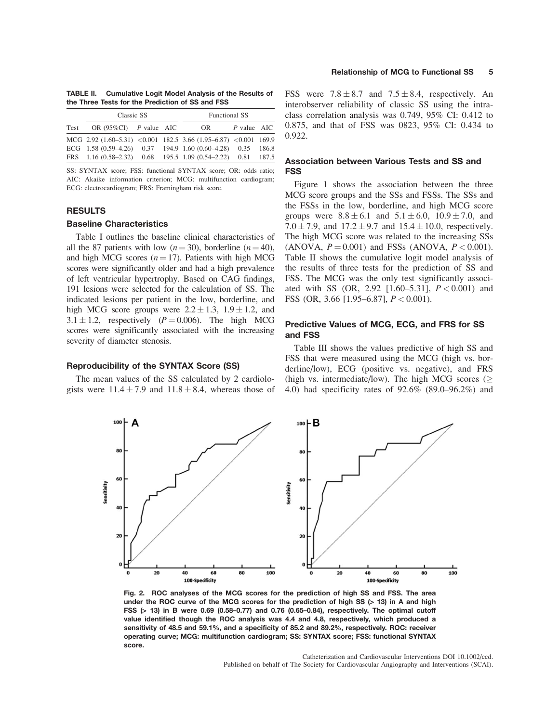TABLE II. Cumulative Logit Model Analysis of the Results of the Three Tests for the Prediction of SS and FSS

|      | Classic SS                                                            |  |  | <b>Functional SS</b> |             |       |
|------|-----------------------------------------------------------------------|--|--|----------------------|-------------|-------|
| Test | OR $(95\%CI)$ P value AIC                                             |  |  | OR                   | P value AIC |       |
|      | MCG 2.92 $(1.60-5.31)$ < 0.001 182.5 3.66 $(1.95-6.87)$ < 0.001 169.9 |  |  |                      |             |       |
|      | ECG $1.58(0.59-4.26)$ $0.37$ $194.9$ $1.60(0.60-4.28)$ $0.35$         |  |  |                      |             | 186.8 |
|      | FRS 1.16 (0.58–2.32) 0.68 195.5 1.09 (0.54–2.22) 0.81 187.5           |  |  |                      |             |       |

SS: SYNTAX score; FSS: functional SYNTAX score; OR: odds ratio; AIC: Akaike information criterion; MCG: multifunction cardiogram; ECG: electrocardiogram; FRS: Framingham risk score.

# RESULTS

#### Baseline Characteristics

Table I outlines the baseline clinical characteristics of all the 87 patients with low  $(n = 30)$ , borderline  $(n = 40)$ , and high MCG scores  $(n = 17)$ . Patients with high MCG scores were significantly older and had a high prevalence of left ventricular hypertrophy. Based on CAG findings, 191 lesions were selected for the calculation of SS. The indicated lesions per patient in the low, borderline, and high MCG score groups were  $2.2 \pm 1.3$ ,  $1.9 \pm 1.2$ , and  $3.1 \pm 1.2$ , respectively ( $P = 0.006$ ). The high MCG scores were significantly associated with the increasing severity of diameter stenosis.

## Reproducibility of the SYNTAX Score (SS)

The mean values of the SS calculated by 2 cardiologists were  $11.4 \pm 7.9$  and  $11.8 \pm 8.4$ , whereas those of FSS were  $7.8 \pm 8.7$  and  $7.5 \pm 8.4$ , respectively. An interobserver reliability of classic SS using the intraclass correlation analysis was 0.749, 95% CI: 0.412 to 0.875, and that of FSS was 0823, 95% CI: 0.434 to 0.922.

## Association between Various Tests and SS and FSS

Figure 1 shows the association between the three MCG score groups and the SSs and FSSs. The SSs and the FSSs in the low, borderline, and high MCG score groups were  $8.8 \pm 6.1$  and  $5.1 \pm 6.0$ ,  $10.9 \pm 7.0$ , and 7.0  $\pm$  7.9, and 17.2  $\pm$  9.7 and 15.4  $\pm$  10.0, respectively. The high MCG score was related to the increasing SSs (ANOVA,  $P = 0.001$ ) and FSSs (ANOVA,  $P < 0.001$ ). Table II shows the cumulative logit model analysis of the results of three tests for the prediction of SS and FSS. The MCG was the only test significantly associated with SS (OR, 2.92 [1.60–5.31],  $P < 0.001$ ) and FSS (OR, 3.66 [1.95–6.87], P < 0.001).

## Predictive Values of MCG, ECG, and FRS for SS and FSS

Table III shows the values predictive of high SS and FSS that were measured using the MCG (high vs. borderline/low), ECG (positive vs. negative), and FRS (high vs. intermediate/low). The high MCG scores ( $\geq$ 4.0) had specificity rates of 92.6% (89.0–96.2%) and



Fig. 2. ROC analyses of the MCG scores for the prediction of high SS and FSS. The area under the ROC curve of the MCG scores for the prediction of high SS  $(> 13)$  in A and high FSS (> 13) in B were 0.69 (0.58–0.77) and 0.76 (0.65–0.84), respectively. The optimal cutoff value identified though the ROC analysis was 4.4 and 4.8, respectively, which produced a sensitivity of 48.5 and 59.1%, and a specificity of 85.2 and 89.2%, respectively. ROC: receiver operating curve; MCG: multifunction cardiogram; SS: SYNTAX score; FSS: functional SYNTAX score.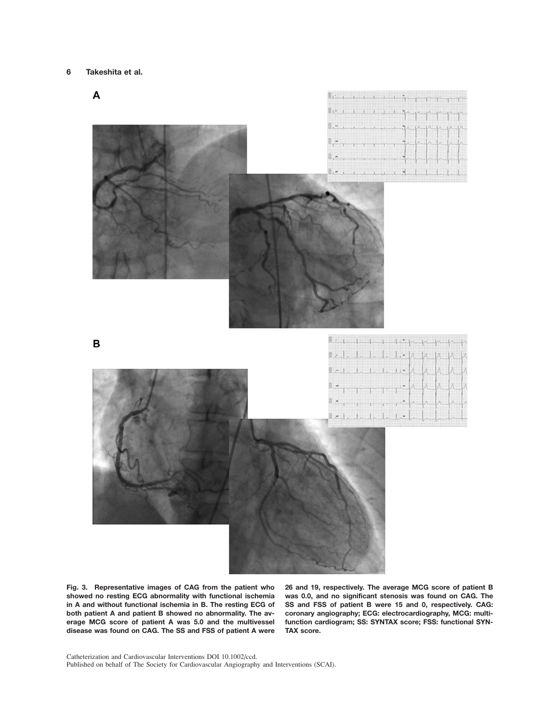

Fig. 3. Representative images of CAG from the patient who showed no resting ECG abnormality with functional ischemia in A and without functional ischemia in B. The resting ECG of both patient A and patient B showed no abnormality. The average MCG score of patient A was 5.0 and the multivessel disease was found on CAG. The SS and FSS of patient A were

26 and 19, respectively. The average MCG score of patient B was 0.0, and no significant stenosis was found on CAG. The SS and FSS of patient B were 15 and 0, respectively. CAG: coronary angiography; ECG: electrocardiography, MCG: multifunction cardiogram; SS: SYNTAX score; FSS: functional SYN-TAX score.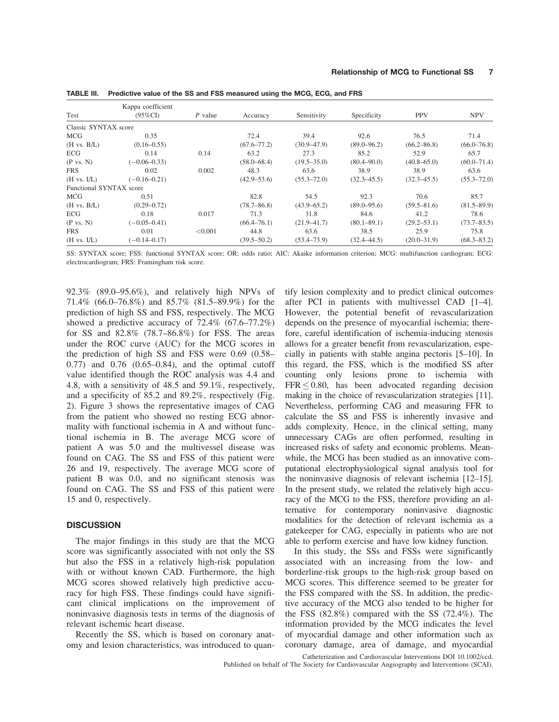|                         | Kappa coefficient |           |                 |                 |                 |                 |                 |
|-------------------------|-------------------|-----------|-----------------|-----------------|-----------------|-----------------|-----------------|
| Test                    | $(95\%CI)$        | $P$ value | Accuracy        | Sensitivity     | Specificity     | <b>PPV</b>      | <b>NPV</b>      |
| Classic SYNTAX score    |                   |           |                 |                 |                 |                 |                 |
| <b>MCG</b>              | 0.35              |           | 72.4            | 39.4            | 92.6            | 76.5            | 71.4            |
| (H vs. B/L)             | $(0.16 - 0.55)$   |           | $(67.6 - 77.2)$ | $(30.9 - 47.9)$ | $(89.0 - 96.2)$ | $(66.2 - 86.8)$ | $(66.0 - 76.8)$ |
| ECG                     | 0.14              | 0.14      | 63.2            | 27.3            | 85.2            | 52.9            | 65.7            |
| (P vs. N)               | $(-0.06 - 0.33)$  |           | $(58.0 - 68.4)$ | $(19.5 - 35.0)$ | $(80.4 - 90.0)$ | $(40.8 - 65.0)$ | $(60.0 - 71.4)$ |
| FRS                     | 0.02              | 0.002     | 48.3            | 63.6            | 38.9            | 38.9            | 63.6            |
| (H vs. I/L)             | $(-0.16 - 0.21)$  |           | $(42.9 - 53.6)$ | $(55.3 - 72.0)$ | $(32.3 - 45.5)$ | $(32.3 - 45.5)$ | $(55.3 - 72.0)$ |
| Functional SYNTAX score |                   |           |                 |                 |                 |                 |                 |
| MCG                     | 0.51              |           | 82.8            | 54.5            | 92.3            | 70.6            | 85.7            |
| (H vs. B/L)             | $(0.29 - 0.72)$   |           | $(78.7 - 86.8)$ | $(43.9 - 65.2)$ | $(89.0 - 95.6)$ | $(59.5 - 81.6)$ | $(81.5 - 89.9)$ |
| ECG.                    | 0.18              | 0.017     | 71.3            | 31.8            | 84.6            | 41.2            | 78.6            |
| (P vs. N)               | $(-0.05 - 0.41)$  |           | $(66.4 - 76.1)$ | $(21.9 - 41.7)$ | $(80.1 - 89.1)$ | $(29.2 - 53.1)$ | $(73.7 - 83.5)$ |
| <b>FRS</b>              | 0.01              | < 0.001   | 44.8            | 63.6            | 38.5            | 25.9            | 75.8            |
| (H vs. I/L)             | $(-0.14 - 0.17)$  |           | $(39.5 - 50.2)$ | $(53.4 - 73.9)$ | $(32.4 - 44.5)$ | $(20.0 - 31.9)$ | $(68.3 - 83.2)$ |

TABLE III. Predictive value of the SS and FSS measured using the MCG, ECG, and FRS

SS: SYNTAX score; FSS: functional SYNTAX score; OR: odds ratio; AIC: Akaike information criterion; MCG: multifunction cardiogram; ECG: electrocardiogram; FRS: Framingham risk score.

92.3% (89.0–95.6%), and relatively high NPVs of 71.4% (66.0–76.8%) and 85.7% (81.5–89.9%) for the prediction of high SS and FSS, respectively. The MCG showed a predictive accuracy of 72.4% (67.6–77.2%) for SS and 82.8% (78.7–86.8%) for FSS. The areas under the ROC curve (AUC) for the MCG scores in the prediction of high SS and FSS were 0.69 (0.58– 0.77) and 0.76 (0.65–0.84), and the optimal cutoff value identified though the ROC analysis was 4.4 and 4.8, with a sensitivity of 48.5 and 59.1%, respectively, and a specificity of 85.2 and 89.2%, respectively (Fig. 2). Figure 3 shows the representative images of CAG from the patient who showed no resting ECG abnormality with functional ischemia in A and without functional ischemia in B. The average MCG score of patient A was 5.0 and the multivessel disease was found on CAG. The SS and FSS of this patient were 26 and 19, respectively. The average MCG score of patient B was 0.0, and no significant stenosis was found on CAG. The SS and FSS of this patient were 15 and 0, respectively.

# **DISCUSSION**

The major findings in this study are that the MCG score was significantly associated with not only the SS but also the FSS in a relatively high-risk population with or without known CAD. Furthermore, the high MCG scores showed relatively high predictive accuracy for high FSS. These findings could have significant clinical implications on the improvement of noninvasive diagnosis tests in terms of the diagnosis of relevant ischemic heart disease.

Recently the SS, which is based on coronary anatomy and lesion characteristics, was introduced to quantify lesion complexity and to predict clinical outcomes after PCI in patients with multivessel CAD [1–4]. However, the potential benefit of revascularization depends on the presence of myocardial ischemia; therefore, careful identification of ischemia-inducing stenosis allows for a greater benefit from revascularization, especially in patients with stable angina pectoris [5–10]. In this regard, the FSS, which is the modified SS after counting only lesions prone to ischemia with  $FFR \leq 0.80$ , has been advocated regarding decision making in the choice of revascularization strategies [11]. Nevertheless, performing CAG and measuring FFR to calculate the SS and FSS is inherently invasive and adds complexity. Hence, in the clinical setting, many unnecessary CAGs are often performed, resulting in increased risks of safety and economic problems. Meanwhile, the MCG has been studied as an innovative computational electrophysiological signal analysis tool for the noninvasive diagnosis of relevant ischemia [12–15]. In the present study, we related the relatively high accuracy of the MCG to the FSS, therefore providing an alternative for contemporary noninvasive diagnostic modalities for the detection of relevant ischemia as a gatekeeper for CAG, especially in patients who are not able to perform exercise and have low kidney function.

In this study, the SSs and FSSs were significantly associated with an increasing from the low- and borderline-risk groups to the high-risk group based on MCG scores. This difference seemed to be greater for the FSS compared with the SS. In addition, the predictive accuracy of the MCG also tended to be higher for the FSS (82.8%) compared with the SS (72.4%). The information provided by the MCG indicates the level of myocardial damage and other information such as coronary damage, area of damage, and myocardial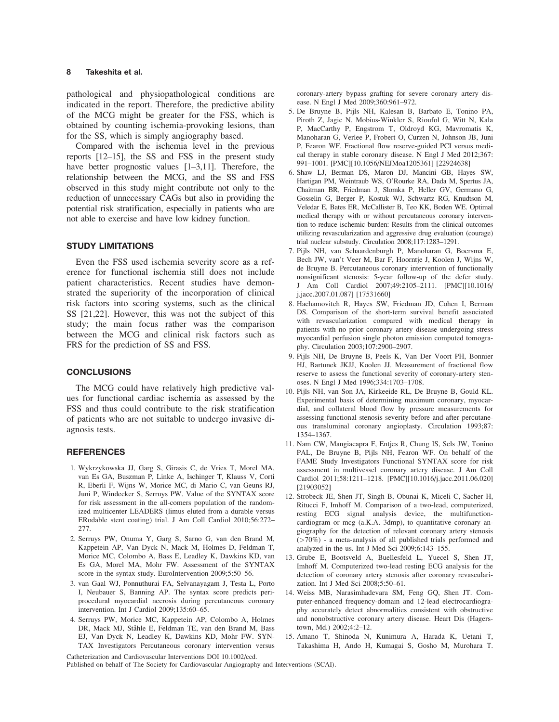#### 8 Takeshita et al.

pathological and physiopathological conditions are indicated in the report. Therefore, the predictive ability of the MCG might be greater for the FSS, which is obtained by counting ischemia-provoking lesions, than for the SS, which is simply angiography based.

Compared with the ischemia level in the previous reports [12–15], the SS and FSS in the present study have better prognostic values [1–3,11]. Therefore, the relationship between the MCG, and the SS and FSS observed in this study might contribute not only to the reduction of unnecessary CAGs but also in providing the potential risk stratification, especially in patients who are not able to exercise and have low kidney function.

## STUDY LIMITATIONS

Even the FSS used ischemia severity score as a reference for functional ischemia still does not include patient characteristics. Recent studies have demonstrated the superiority of the incorporation of clinical risk factors into scoring systems, such as the clinical SS [21,22]. However, this was not the subject of this study; the main focus rather was the comparison between the MCG and clinical risk factors such as FRS for the prediction of SS and FSS.

#### **CONCLUSIONS**

The MCG could have relatively high predictive values for functional cardiac ischemia as assessed by the FSS and thus could contribute to the risk stratification of patients who are not suitable to undergo invasive diagnosis tests.

## **REFERENCES**

- 1. Wykrzykowska JJ, Garg S, Girasis C, de Vries T, Morel MA, van Es GA, Buszman P, Linke A, Ischinger T, Klauss V, Corti R, Eberli F, Wijns W, Morice MC, di Mario C, van Geuns RJ, Juni P, Windecker S, Serruys PW. Value of the SYNTAX score for risk assessment in the all-comers population of the randomized multicenter LEADERS (limus eluted from a durable versus ERodable stent coating) trial. J Am Coll Cardiol 2010;56:272– 277.
- 2. Serruys PW, Onuma Y, Garg S, Sarno G, van den Brand M, Kappetein AP, Van Dyck N, Mack M, Holmes D, Feldman T, Morice MC, Colombo A, Bass E, Leadley K, Dawkins KD, van Es GA, Morel MA, Mohr FW. Assessment of the SYNTAX score in the syntax study. EuroIntervention 2009;5:50–56.
- 3. van Gaal WJ, Ponnuthurai FA, Selvanayagam J, Testa L, Porto I, Neubauer S, Banning AP. The syntax score predicts periprocedural myocardial necrosis during percutaneous coronary intervention. Int J Cardiol 2009;135:60–65.
- 4. Serruys PW, Morice MC, Kappetein AP, Colombo A, Holmes DR, Mack MJ, Ståhle E, Feldman TE, van den Brand M, Bass EJ, Van Dyck N, Leadley K, Dawkins KD, Mohr FW. SYN-TAX Investigators Percutaneous coronary intervention versus

coronary-artery bypass grafting for severe coronary artery disease. N Engl J Med 2009;360:961–972.

- 5. De Bruyne B, Pijls NH, Kalesan B, Barbato E, Tonino PA, Piroth Z, Jagic N, Mobius-Winkler S, Rioufol G, Witt N, Kala P, MacCarthy P, Engstrom T, Oldroyd KG, Mavromatis K, Manoharan G, Verlee P, Frobert O, Curzen N, Johnson JB, Juni P, Fearon WF. Fractional flow reserve-guided PCI versus medical therapy in stable coronary disease. N Engl J Med 2012;367: 991–1001. [PMC][10.1056/NEJMoa1205361] [22924638]
- 6. Shaw LJ, Berman DS, Maron DJ, Mancini GB, Hayes SW, Hartigan PM, Weintraub WS, O'Rourke RA, Dada M, Spertus JA, Chaitman BR, Friedman J, Slomka P, Heller GV, Germano G, Gosselin G, Berger P, Kostuk WJ, Schwartz RG, Knudtson M, Veledar E, Bates ER, McCallister B, Teo KK, Boden WE. Optimal medical therapy with or without percutaneous coronary intervention to reduce ischemic burden: Results from the clinical outcomes utilizing revascularization and aggressive drug evaluation (courage) trial nuclear substudy. Circulation 2008;117:1283–1291.
- 7. Pijls NH, van Schaardenburgh P, Manoharan G, Boersma E, Bech JW, van't Veer M, Bar F, Hoorntje J, Koolen J, Wijns W, de Bruyne B. Percutaneous coronary intervention of functionally nonsignificant stenosis: 5-year follow-up of the defer study. J Am Coll Cardiol 2007;49:2105–2111. [PMC][10.1016/ j.jacc.2007.01.087] [17531660]
- 8. Hachamovitch R, Hayes SW, Friedman JD, Cohen I, Berman DS. Comparison of the short-term survival benefit associated with revascularization compared with medical therapy in patients with no prior coronary artery disease undergoing stress myocardial perfusion single photon emission computed tomography. Circulation 2003;107:2900–2907.
- 9. Pijls NH, De Bruyne B, Peels K, Van Der Voort PH, Bonnier HJ, Bartunek JKJJ, Koolen JJ. Measurement of fractional flow reserve to assess the functional severity of coronary-artery stenoses. N Engl J Med 1996;334:1703–1708.
- 10. Pijls NH, van Son JA, Kirkeeide RL, De Bruyne B, Gould KL. Experimental basis of determining maximum coronary, myocardial, and collateral blood flow by pressure measurements for assessing functional stenosis severity before and after percutaneous transluminal coronary angioplasty. Circulation 1993;87: 1354–1367.
- 11. Nam CW, Mangiacapra F, Entjes R, Chung IS, Sels JW, Tonino PAL, De Bruyne B, Pijls NH, Fearon WF. On behalf of the FAME Study Investigators Functional SYNTAX score for risk assessment in multivessel coronary artery disease. J Am Coll Cardiol 2011;58:1211–1218. [PMC][10.1016/j.jacc.2011.06.020] [21903052]
- 12. Strobeck JE, Shen JT, Singh B, Obunai K, Miceli C, Sacher H, Ritucci F, Imhoff M. Comparison of a two-lead, computerized, resting ECG signal analysis device, the multifunctioncardiogram or mcg (a.K.A. 3dmp), to quantitative coronary angiography for the detection of relevant coronary artery stenosis (>70%) - a meta-analysis of all published trials performed and analyzed in the us. Int J Med Sci 2009;6:143–155.
- 13. Grube E, Bootsveld A, Buellesfeld L, Yuecel S, Shen JT, Imhoff M. Computerized two-lead resting ECG analysis for the detection of coronary artery stenosis after coronary revascularization. Int J Med Sci 2008;5:50–61.
- 14. Weiss MB, Narasimhadevara SM, Feng GQ, Shen JT. Computer-enhanced frequency-domain and 12-lead electrocardiography accurately detect abnormalities consistent with obstructive and nonobstructive coronary artery disease. Heart Dis (Hagerstown, Md.) 2002;4:2–12.
- 15. Amano T, Shinoda N, Kunimura A, Harada K, Uetani T, Takashima H, Ando H, Kumagai S, Gosho M, Murohara T.